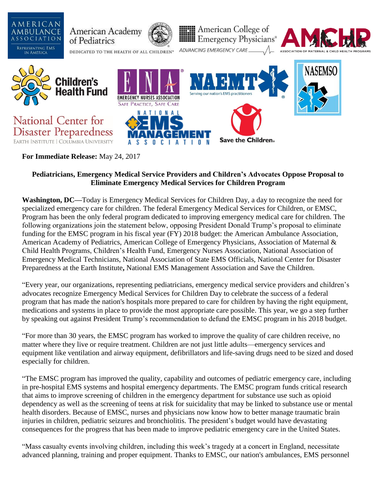

**For Immediate Release:** May 24, 2017

# **Pediatricians, Emergency Medical Service Providers and Children's Advocates Oppose Proposal to Eliminate Emergency Medical Services for Children Program**

**Washington, DC—**Today is Emergency Medical Services for Children Day, a day to recognize the need for specialized emergency care for children. The federal Emergency Medical Services for Children, or EMSC, Program has been the only federal program dedicated to improving emergency medical care for children. The following organizations join the statement below, opposing President Donald Trump's proposal to eliminate funding for the EMSC program in his fiscal year (FY) 2018 budget: the American Ambulance Association, American Academy of Pediatrics, American College of Emergency Physicians, Association of Maternal & Child Health Programs, Children's Health Fund, Emergency Nurses Association, National Association of Emergency Medical Technicians, National Association of State EMS Officials, National Center for Disaster Preparedness at the Earth Institute**,** National EMS Management Association and Save the Children.

"Every year, our organizations, representing pediatricians, emergency medical service providers and children's advocates recognize Emergency Medical Services for Children Day to celebrate the success of a federal program that has made the nation's hospitals more prepared to care for children by having the right equipment, medications and systems in place to provide the most appropriate care possible. This year, we go a step further by speaking out against President Trump's recommendation to defund the EMSC program in his 2018 budget.

"For more than 30 years, the EMSC program has worked to improve the quality of care children receive, no matter where they live or require treatment. Children are not just little adults—emergency services and equipment like ventilation and airway equipment, defibrillators and life-saving drugs need to be sized and dosed especially for children.

"The EMSC program has improved the quality, capability and outcomes of pediatric emergency care, including in pre-hospital EMS systems and hospital emergency departments. The EMSC program funds critical research that aims to improve screening of children in the emergency department for substance use such as opioid dependency as well as the screening of teens at risk for suicidality that may be linked to substance use or mental health disorders. Because of EMSC, nurses and physicians now know how to better manage traumatic brain injuries in children, pediatric seizures and bronchiolitis. The president's budget would have devastating consequences for the progress that has been made to improve pediatric emergency care in the United States.

"Mass casualty events involving children, including this week's tragedy at a concert in England, necessitate advanced planning, training and proper equipment. Thanks to EMSC, our nation's ambulances, EMS personnel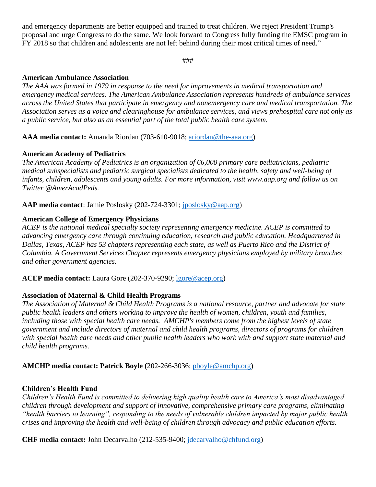and emergency departments are better equipped and trained to treat children. We reject President Trump's proposal and urge Congress to do the same. We look forward to Congress fully funding the EMSC program in FY 2018 so that children and adolescents are not left behind during their most critical times of need."

###

#### **American Ambulance Association**

*The AAA was formed in 1979 in response to the need for improvements in medical transportation and emergency medical services. The American Ambulance Association represents hundreds of ambulance services across the United States that participate in emergency and nonemergency care and medical transportation. The Association serves as a voice and clearinghouse for ambulance services, and views prehospital care not only as a public service, but also as an essential part of the total public health care system.*

**AAA media contact:** Amanda Riordan (703-610-9018; [ariordan@the-aaa.org\)](mailto:ariordan@the-aaa.org)

# **American Academy of Pediatrics**

*The American Academy of Pediatrics is an organization of 66,000 primary care pediatricians, pediatric medical subspecialists and pediatric surgical specialists dedicated to the health, safety and well-being of infants, children, adolescents and young adults. For more information, visit www.aap.org and follow us on Twitter @AmerAcadPeds.*

**AAP media contact**: Jamie Poslosky (202-724-3301; [jposlosky@aap.org\)](mailto:jposlosky@aap.org)

#### **American College of Emergency Physicians**

*ACEP is the national medical specialty society representing emergency medicine. ACEP is committed to advancing emergency care through continuing education, research and public education. Headquartered in Dallas, Texas, ACEP has 53 chapters representing each state, as well as Puerto Rico and the District of Columbia. A Government Services Chapter represents emergency physicians employed by military branches and other government agencies.* 

**ACEP media contact:** Laura Gore (202-370-9290; [lgore@acep.org\)](mailto:lgore@acep.org)

# **Association of Maternal & Child Health Programs**

*The Association of Maternal & Child Health Programs is a national resource, partner and advocate for state public health leaders and others working to improve the health of women, children, youth and families, including those with special health care needs. AMCHP's members come from the highest levels of state government and include directors of maternal and child health programs, directors of programs for children with special health care needs and other public health leaders who work with and support state maternal and child health programs.*

**AMCHP media contact: Patrick Boyle (**202-266-3036; [pboyle@amchp.org\)](mailto:pboyle@amchp.org)

# **Children's Health Fund**

*Children's Health Fund is committed to delivering high quality health care to America's most disadvantaged children through development and support of innovative, comprehensive primary care programs, eliminating "health barriers to learning", responding to the needs of vulnerable children impacted by major public health crises and improving the health and well-being of children through advocacy and public education efforts.*

**CHF media contact:** John Decarvalho (212-535-9400; [jdecarvalho@chfund.org\)](mailto:jdecarvalho@chfund.org)